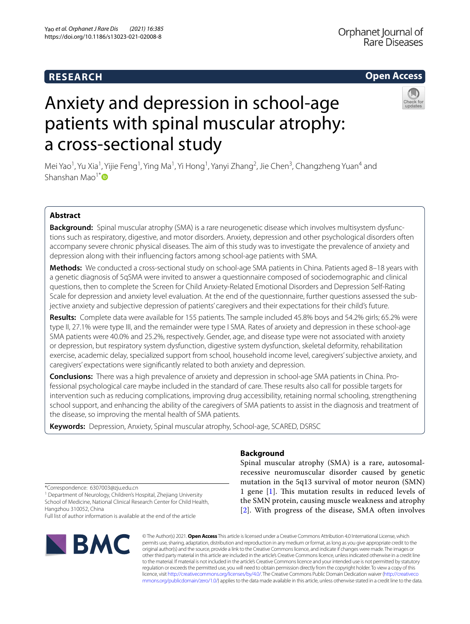## **RESEARCH**

## **Open Access**

# Anxiety and depression in school-age patients with spinal muscular atrophy: a cross-sectional study

Mei Yao<sup>1</sup>, Yu Xia<sup>1</sup>, Yijie Feng<sup>1</sup>, Ying Ma<sup>1</sup>, Yi Hong<sup>1</sup>, Yanyi Zhang<sup>2</sup>, Jie Chen<sup>3</sup>, Changzheng Yuan<sup>4</sup> and Shanshan Mao<sup>1[\\*](http://orcid.org/0000-0001-6736-1407)</sup> $\bullet$ 

## **Abstract**

**Background:** Spinal muscular atrophy (SMA) is a rare neurogenetic disease which involves multisystem dysfunctions such as respiratory, digestive, and motor disorders. Anxiety, depression and other psychological disorders often accompany severe chronic physical diseases. The aim of this study was to investigate the prevalence of anxiety and depression along with their infuencing factors among school-age patients with SMA.

**Methods:** We conducted a cross-sectional study on school-age SMA patients in China. Patients aged 8–18 years with a genetic diagnosis of 5qSMA were invited to answer a questionnaire composed of sociodemographic and clinical questions, then to complete the Screen for Child Anxiety-Related Emotional Disorders and Depression Self-Rating Scale for depression and anxiety level evaluation. At the end of the questionnaire, further questions assessed the subjective anxiety and subjective depression of patients' caregivers and their expectations for their child's future.

**Results:** Complete data were available for 155 patients. The sample included 45.8% boys and 54.2% girls; 65.2% were type II, 27.1% were type III, and the remainder were type I SMA. Rates of anxiety and depression in these school-age SMA patients were 40.0% and 25.2%, respectively. Gender, age, and disease type were not associated with anxiety or depression, but respiratory system dysfunction, digestive system dysfunction, skeletal deformity, rehabilitation exercise, academic delay, specialized support from school, household income level, caregivers' subjective anxiety, and caregivers' expectations were signifcantly related to both anxiety and depression.

**Conclusions:** There was a high prevalence of anxiety and depression in school-age SMA patients in China. Professional psychological care maybe included in the standard of care. These results also call for possible targets for intervention such as reducing complications, improving drug accessibility, retaining normal schooling, strengthening school support, and enhancing the ability of the caregivers of SMA patients to assist in the diagnosis and treatment of the disease, so improving the mental health of SMA patients.

**Keywords:** Depression, Anxiety, Spinal muscular atrophy, School-age, SCARED, DSRSC

## **Background**

Spinal muscular atrophy (SMA) is a rare, autosomalrecessive neuromuscular disorder caused by genetic mutation in the 5q13 survival of motor neuron (SMN) 1 gene [[1\]](#page-10-0). This mutation results in reduced levels of the SMN protein, causing muscle weakness and atrophy [[2](#page-10-1)]. With progress of the disease, SMA often involves

\*Correspondence: 6307003@zju.edu.cn

<sup>1</sup> Department of Neurology, Children's Hospital, Zhejiang University School of Medicine, National Clinical Research Center for Child Health, Hangzhou 310052, China

Full list of author information is available at the end of the article



© The Author(s) 2021. **Open Access** This article is licensed under a Creative Commons Attribution 4.0 International License, which permits use, sharing, adaptation, distribution and reproduction in any medium or format, as long as you give appropriate credit to the original author(s) and the source, provide a link to the Creative Commons licence, and indicate if changes were made. The images or other third party material in this article are included in the article's Creative Commons licence, unless indicated otherwise in a credit line to the material. If material is not included in the article's Creative Commons licence and your intended use is not permitted by statutory regulation or exceeds the permitted use, you will need to obtain permission directly from the copyright holder. To view a copy of this licence, visit [http://creativecommons.org/licenses/by/4.0/.](http://creativecommons.org/licenses/by/4.0/) The Creative Commons Public Domain Dedication waiver ([http://creativeco](http://creativecommons.org/publicdomain/zero/1.0/) [mmons.org/publicdomain/zero/1.0/](http://creativecommons.org/publicdomain/zero/1.0/)) applies to the data made available in this article, unless otherwise stated in a credit line to the data.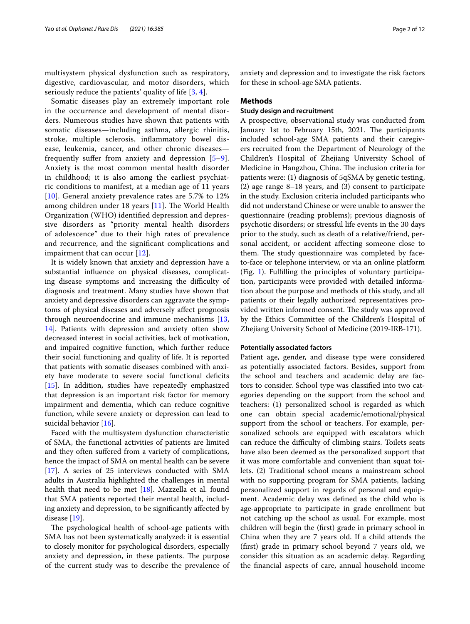multisystem physical dysfunction such as respiratory, digestive, cardiovascular, and motor disorders, which seriously reduce the patients' quality of life  $[3, 4]$  $[3, 4]$  $[3, 4]$ .

Somatic diseases play an extremely important role in the occurrence and development of mental disorders. Numerous studies have shown that patients with somatic diseases—including asthma, allergic rhinitis, stroke, multiple sclerosis, infammatory bowel disease, leukemia, cancer, and other chronic diseases frequently suffer from anxiety and depression  $[5-9]$  $[5-9]$ . Anxiety is the most common mental health disorder in childhood; it is also among the earliest psychiatric conditions to manifest, at a median age of 11 years [[10](#page-10-6)]. General anxiety prevalence rates are 5.7% to 12% among children under 18 years  $[11]$  $[11]$ . The World Health Organization (WHO) identifed depression and depressive disorders as "priority mental health disorders of adolescence" due to their high rates of prevalence and recurrence, and the signifcant complications and impairment that can occur [[12](#page-10-8)].

It is widely known that anxiety and depression have a substantial infuence on physical diseases, complicating disease symptoms and increasing the difficulty of diagnosis and treatment. Many studies have shown that anxiety and depressive disorders can aggravate the symptoms of physical diseases and adversely afect prognosis through neuroendocrine and immune mechanisms [\[13](#page-10-9), [14\]](#page-10-10). Patients with depression and anxiety often show decreased interest in social activities, lack of motivation, and impaired cognitive function, which further reduce their social functioning and quality of life. It is reported that patients with somatic diseases combined with anxiety have moderate to severe social functional defcits [[15\]](#page-10-11). In addition, studies have repeatedly emphasized that depression is an important risk factor for memory impairment and dementia, which can reduce cognitive function, while severe anxiety or depression can lead to suicidal behavior [\[16](#page-10-12)].

Faced with the multisystem dysfunction characteristic of SMA, the functional activities of patients are limited and they often sufered from a variety of complications, hence the impact of SMA on mental health can be severe [[17\]](#page-10-13). A series of 25 interviews conducted with SMA adults in Australia highlighted the challenges in mental health that need to be met  $[18]$  $[18]$ . Mazzella et al. found that SMA patients reported their mental health, including anxiety and depression, to be signifcantly afected by disease [\[19](#page-10-15)].

The psychological health of school-age patients with SMA has not been systematically analyzed: it is essential to closely monitor for psychological disorders, especially anxiety and depression, in these patients. The purpose of the current study was to describe the prevalence of anxiety and depression and to investigate the risk factors for these in school-age SMA patients.

#### **Methods**

## **Study design and recruitment**

A prospective, observational study was conducted from January 1st to February 15th, 2021. The participants included school-age SMA patients and their caregivers recruited from the Department of Neurology of the Children's Hospital of Zhejiang University School of Medicine in Hangzhou, China. The inclusion criteria for patients were: (1) diagnosis of 5qSMA by genetic testing, (2) age range 8–18 years, and (3) consent to participate in the study. Exclusion criteria included participants who did not understand Chinese or were unable to answer the questionnaire (reading problems); previous diagnosis of psychotic disorders; or stressful life events in the 30 days prior to the study, such as death of a relative/friend, personal accident, or accident afecting someone close to them. The study questionnaire was completed by faceto-face or telephone interview, or via an online platform (Fig. [1\)](#page-2-0). Fulflling the principles of voluntary participation, participants were provided with detailed information about the purpose and methods of this study, and all patients or their legally authorized representatives provided written informed consent. The study was approved by the Ethics Committee of the Children's Hospital of Zhejiang University School of Medicine (2019-IRB-171).

#### **Potentially associated factors**

Patient age, gender, and disease type were considered as potentially associated factors. Besides, support from the school and teachers and academic delay are factors to consider. School type was classifed into two categories depending on the support from the school and teachers: (1) personalized school is regarded as which one can obtain special academic/emotional/physical support from the school or teachers. For example, personalized schools are equipped with escalators which can reduce the difficulty of climbing stairs. Toilets seats have also been deemed as the personalized support that it was more comfortable and convenient than squat toilets. (2) Traditional school means a mainstream school with no supporting program for SMA patients, lacking personalized support in regards of personal and equipment. Academic delay was defned as the child who is age-appropriate to participate in grade enrollment but not catching up the school as usual. For example, most children will begin the (frst) grade in primary school in China when they are 7 years old. If a child attends the (frst) grade in primary school beyond 7 years old, we consider this situation as an academic delay. Regarding the fnancial aspects of care, annual household income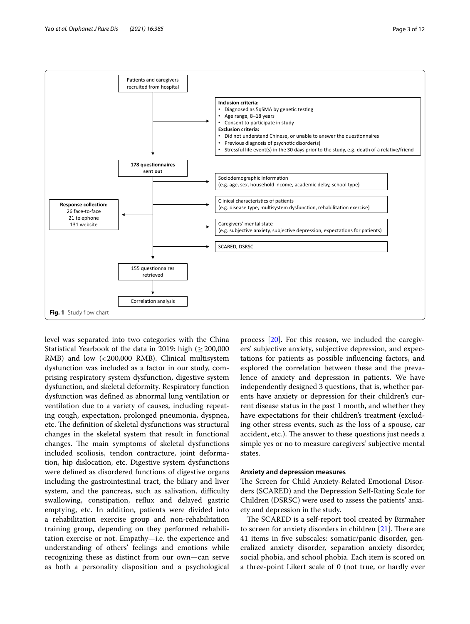

<span id="page-2-0"></span>level was separated into two categories with the China Statistical Yearbook of the data in 2019: high ( $\geq$  200,000 RMB) and low (<200,000 RMB). Clinical multisystem dysfunction was included as a factor in our study, comprising respiratory system dysfunction, digestive system dysfunction, and skeletal deformity. Respiratory function dysfunction was defned as abnormal lung ventilation or ventilation due to a variety of causes, including repeating cough, expectation, prolonged pneumonia, dyspnea, etc. The definition of skeletal dysfunctions was structural changes in the skeletal system that result in functional changes. The main symptoms of skeletal dysfunctions included scoliosis, tendon contracture, joint deformation, hip dislocation, etc. Digestive system dysfunctions were defned as disordered functions of digestive organs including the gastrointestinal tract, the biliary and liver system, and the pancreas, such as salivation, difficulty swallowing, constipation, refux and delayed gastric emptying, etc. In addition, patients were divided into a rehabilitation exercise group and non-rehabilitation training group, depending on they performed rehabilitation exercise or not. Empathy—i.e. the experience and understanding of others' feelings and emotions while recognizing these as distinct from our own—can serve as both a personality disposition and a psychological

process [[20\]](#page-10-16). For this reason, we included the caregivers' subjective anxiety, subjective depression, and expectations for patients as possible infuencing factors, and explored the correlation between these and the prevalence of anxiety and depression in patients. We have independently designed 3 questions, that is, whether parents have anxiety or depression for their children's current disease status in the past 1 month, and whether they have expectations for their children's treatment (excluding other stress events, such as the loss of a spouse, car accident, etc.). The answer to these questions just needs a simple yes or no to measure caregivers' subjective mental states.

## **Anxiety and depression measures**

The Screen for Child Anxiety-Related Emotional Disorders (SCARED) and the Depression Self-Rating Scale for Children (DSRSC) were used to assess the patients' anxiety and depression in the study.

The SCARED is a self-report tool created by Birmaher to screen for anxiety disorders in children  $[21]$ . There are 41 items in fve subscales: somatic/panic disorder, generalized anxiety disorder, separation anxiety disorder, social phobia, and school phobia. Each item is scored on a three-point Likert scale of 0 (not true, or hardly ever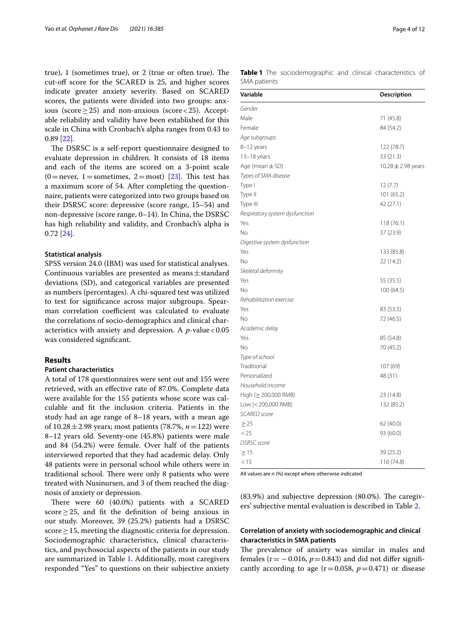true),  $1$  (sometimes true), or  $2$  (true or often true). The cut-of score for the SCARED is 25, and higher scores indicate greater anxiety severity. Based on SCARED scores, the patients were divided into two groups: anxious (score  $\geq$  25) and non-anxious (score < 25). Acceptable reliability and validity have been established for this scale in China with Cronbach's alpha ranges from 0.43 to 0.89 [\[22](#page-10-18)].

The DSRSC is a self-report questionnaire designed to evaluate depression in children. It consists of 18 items and each of the items are scored on a 3-point scale  $(0=$ never, 1 = sometimes, 2 = most) [\[23\]](#page-10-19). This test has a maximum score of 54. After completing the questionnaire, patients were categorized into two groups based on their DSRSC score: depressive (score range, 15–54) and non-depressive (score range, 0–14). In China, the DSRSC has high reliability and validity, and Cronbach's alpha is 0.72 [\[24](#page-10-20)].

## **Statistical analysis**

SPSS version 24.0 (IBM) was used for statistical analyses. Continuous variables are presented as means $\pm$ standard deviations (SD), and categorical variables are presented as numbers (percentages). A chi-squared test was utilized to test for signifcance across major subgroups. Spearman correlation coefficient was calculated to evaluate the correlations of socio-demographics and clinical characteristics with anxiety and depression. A *p*-value <0.05 was considered signifcant.

### **Results**

## **Patient characteristics**

A total of 178 questionnaires were sent out and 155 were retrieved, with an efective rate of 87.0%. Complete data were available for the 155 patients whose score was calculable and ft the inclusion criteria. Patients in the study had an age range of 8–18 years, with a mean age of 10.28±2.98 years; most patients (78.7%, *n*=122) were 8–12 years old. Seventy-one (45.8%) patients were male and 84 (54.2%) were female. Over half of the patients interviewed reported that they had academic delay. Only 48 patients were in personal school while others were in traditional school. There were only 8 patients who were treated with Nusinursen, and 3 of them reached the diagnosis of anxiety or depression.

There were 60 (40.0%) patients with a SCARED score≥25, and ft the defnition of being anxious in our study. Moreover, 39 (25.2%) patients had a DSRSC score  $\geq$  15, meeting the diagnostic criteria for depression. Sociodemographic characteristics, clinical characteristics, and psychosocial aspects of the patients in our study are summarized in Table [1](#page-3-0). Additionally, most caregivers responded "Yes" to questions on their subjective anxiety

<span id="page-3-0"></span>

|              |  | Table 1 The sociodemographic and clinical characteristics of |  |  |
|--------------|--|--------------------------------------------------------------|--|--|
| SMA patients |  |                                                              |  |  |

| Variable                       | Description            |
|--------------------------------|------------------------|
| Gender                         |                        |
| Male                           | 71 (45.8)              |
| Female                         | 84 (54.2)              |
| Age subgroups                  |                        |
| 8-12 years                     | 122 (78.7)             |
| 13-18 years                    | 33 (21.3)              |
| Age (mean $\pm$ SD)            | 10.28 $\pm$ 2.98 years |
| Types of SMA disease           |                        |
| Type I                         | 12(7.7)                |
| Type II                        | 101 (65.2)             |
| Type III                       | 42 (27.1)              |
| Respiratory system dysfunction |                        |
| Yes                            | 118 (76.1)             |
| No                             | 37 (23.9)              |
| Digestive system dysfunction   |                        |
| Yes                            | 133 (85.8)             |
| No                             | 22 (14.2)              |
| Skeletal deformity             |                        |
| Yes                            | 55 (35.5)              |
| No                             | 100 (64.5)             |
| Rehabilitation exercise        |                        |
| Yes                            | 83 (53.5)              |
| Νo                             | 72 (46.5)              |
| Academic delay                 |                        |
| Yes                            | 85 (54.8)              |
| No                             | 70 (45.2)              |
| Type of school                 |                        |
| Traditional                    | 107 (69)               |
| Personalized                   | 48 (31)                |
| Household income               |                        |
| High (≥ 200,000 RMB)           | 23 (14.8)              |
| Low (< 200,000 RMB)            | 132 (85.2)             |
| <b>SCARED</b> score            |                        |
| $\geq$ 25                      | 62 (40.0)              |
| < 25                           | 93 (60.0)              |
| <b>DSRSC</b> score             |                        |
| $\geq$ 15                      | 39 (25.2)              |
| < 15                           | 116 (74.8)             |

All values are *n* (%) except where otherwise indicated

 $(83.9\%)$  and subjective depression  $(80.0\%)$ . The caregivers' subjective mental evaluation is described in Table [2](#page-4-0).

## **Correlation of anxiety with sociodemographic and clinical characteristics in SMA patients**

The prevalence of anxiety was similar in males and females ( $r = -0.016$ ,  $p = 0.843$ ) and did not differ significantly according to age  $(r=0.058, p=0.471)$  or disease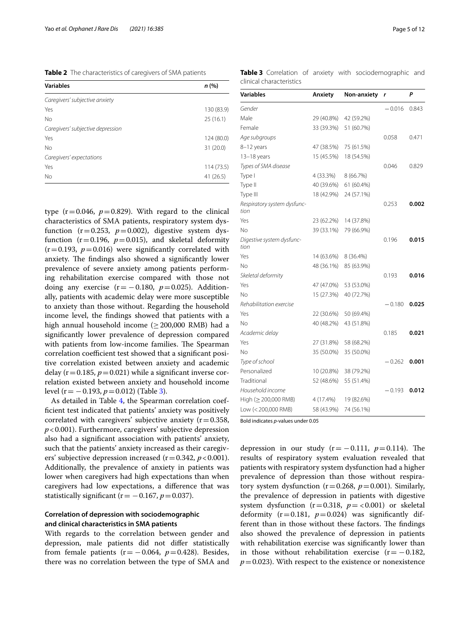<span id="page-4-0"></span>**Table 2** The characteristics of caregivers of SMA patients

| <b>Variables</b>                  | n (%)      |
|-----------------------------------|------------|
| Caregivers' subjective anxiety    |            |
| Yes                               | 130 (83.9) |
| No                                | 25(16.1)   |
| Caregivers' subjective depression |            |
| Yes                               | 124 (80.0) |
| <b>No</b>                         | 31 (20.0)  |
| Caregivers' expectations          |            |
| Yes                               | 114 (73.5) |
| No                                | 41 (26.5)  |

type  $(r=0.046, p=0.829)$ . With regard to the clinical characteristics of SMA patients, respiratory system dysfunction ( $r=0.253$ ,  $p=0.002$ ), digestive system dysfunction ( $r=0.196$ ,  $p=0.015$ ), and skeletal deformity  $(r=0.193, p=0.016)$  were significantly correlated with anxiety. The findings also showed a significantly lower prevalence of severe anxiety among patients performing rehabilitation exercise compared with those not doing any exercise  $(r=-0.180, p=0.025)$ . Additionally, patients with academic delay were more susceptible to anxiety than those without. Regarding the household income level, the fndings showed that patients with a high annual household income ( $\geq$  200,000 RMB) had a signifcantly lower prevalence of depression compared with patients from low-income families. The Spearman correlation coefficient test showed that a significant positive correlation existed between anxiety and academic delay  $(r=0.185, p=0.021)$  while a significant inverse correlation existed between anxiety and household income level (r= −0.193, *p*=0.012) (Table [3\)](#page-4-1).

As detailed in Table [4,](#page-5-0) the Spearman correlation coeffcient test indicated that patients' anxiety was positively correlated with caregivers' subjective anxiety  $(r=0.358,$ *p*<0.001). Furthermore, caregivers' subjective depression also had a signifcant association with patients' anxiety, such that the patients' anxiety increased as their caregivers' subjective depression increased  $(r=0.342, p<0.001)$ . Additionally, the prevalence of anxiety in patients was lower when caregivers had high expectations than when caregivers had low expectations, a diference that was statistically significant ( $r = -0.167$ ,  $p = 0.037$ ).

## **Correlation of depression with sociodemographic and clinical characteristics in SMA patients**

With regards to the correlation between gender and depression, male patients did not difer statistically from female patients  $(r = -0.064, p = 0.428)$ . Besides, there was no correlation between the type of SMA and

<span id="page-4-1"></span>**Table 3** Correlation of anxiety with sociodemographic and clinical characteristics

| Variables                           | Anxiety    | Non-anxiety | r        | P     |
|-------------------------------------|------------|-------------|----------|-------|
| Gender                              |            |             | $-0.016$ | 0.843 |
| Male                                | 29 (40.8%) | 42 (59.2%)  |          |       |
| Female                              | 33 (39.3%) | 51 (60.7%)  |          |       |
| Age subgroups                       |            |             | 0.058    | 0.471 |
| 8-12 years                          | 47 (38.5%) | 75 (61.5%)  |          |       |
| 13-18 years                         | 15 (45.5%) | 18 (54.5%)  |          |       |
| Types of SMA disease                |            |             | 0.046    | 0.829 |
| Type I                              | 4 (33.3%)  | 8 (66.7%)   |          |       |
| Type II                             | 40 (39.6%) | 61 (60.4%)  |          |       |
| Type III                            | 18 (42.9%) | 24 (57.1%)  |          |       |
| Respiratory system dysfunc-<br>tion |            |             | 0.253    | 0.002 |
| Yes                                 | 23 (62.2%) | 14 (37.8%)  |          |       |
| No                                  | 39 (33.1%) | 79 (66.9%)  |          |       |
| Digestive system dysfunc-<br>tion   |            |             | 0.196    | 0.015 |
| Yes                                 | 14 (63.6%) | 8 (36.4%)   |          |       |
| No                                  | 48 (36.1%) | 85 (63.9%)  |          |       |
| Skeletal deformity                  |            |             | 0.193    | 0.016 |
| Yes                                 | 47 (47.0%) | 53 (53.0%)  |          |       |
| No                                  | 15 (27.3%) | 40 (72.7%)  |          |       |
| Rehabilitation exercise             |            |             | $-0.180$ | 0.025 |
| Yes                                 | 22 (30.6%) | 50 (69.4%)  |          |       |
| No                                  | 40 (48.2%) | 43 (51.8%)  |          |       |
| Academic delay                      |            |             | 0.185    | 0.021 |
| Yes                                 | 27 (31.8%) | 58 (68.2%)  |          |       |
| No                                  | 35 (50.0%) | 35 (50.0%)  |          |       |
| Type of school                      |            |             | $-0.262$ | 0.001 |
| Personalized                        | 10 (20.8%) | 38 (79.2%)  |          |       |
| Traditional                         | 52 (48.6%) | 55 (51.4%)  |          |       |
| Household income                    |            |             | $-0.193$ | 0.012 |
| High ( $\geq$ 200,000 RMB)          | 4 (17.4%)  | 19 (82.6%)  |          |       |
| Low (< 200,000 RMB)                 | 58 (43.9%) | 74 (56.1%)  |          |       |

Bold indicates *p*-values under 0.05

depression in our study  $(r=-0.111, p=0.114)$ . The results of respiratory system evaluation revealed that patients with respiratory system dysfunction had a higher prevalence of depression than those without respiratory system dysfunction  $(r=0.268, p=0.001)$ . Similarly, the prevalence of depression in patients with digestive system dysfunction  $(r=0.318, p = <0.001)$  or skeletal deformity  $(r=0.181, p=0.024)$  was significantly different than in those without these factors. The findings also showed the prevalence of depression in patients with rehabilitation exercise was signifcantly lower than in those without rehabilitation exercise  $(r=-0.182,$  $p=0.023$ ). With respect to the existence or nonexistence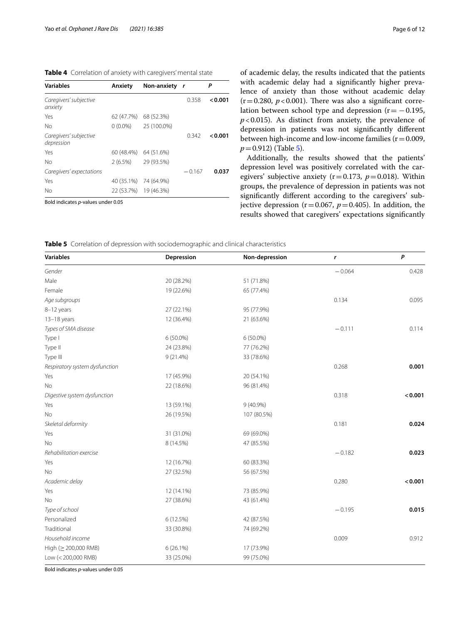<span id="page-5-0"></span>**Table 4** Correlation of anxiety with caregivers' mental state

| <b>Variables</b>                     | Anxiety    | Non-anxiety r         |          | Ρ       |
|--------------------------------------|------------|-----------------------|----------|---------|
| Caregivers' subjective<br>anxiety    |            |                       | 0.358    | < 0.001 |
| Yes                                  | 62 (47.7%) | 68 (52.3%)            |          |         |
| No                                   | $0(0.0\%)$ | 25 (100.0%)           |          |         |
| Caregivers' subjective<br>depression |            |                       | 0.342    | 0.001   |
| Yes                                  |            | 60 (48.4%) 64 (51.6%) |          |         |
| No                                   | $2(6.5\%)$ | 29 (93.5%)            |          |         |
| Caregivers' expectations             |            |                       | $-0.167$ | 0.037   |
| Yes                                  | 40 (35.1%) | 74 (64.9%)            |          |         |
| No                                   | 22 (53.7%) | 19 (46.3%)            |          |         |

Bold indicates *p*-values under 0.05

of academic delay, the results indicated that the patients with academic delay had a signifcantly higher prevalence of anxiety than those without academic delay  $(r=0.280, p<0.001)$ . There was also a significant correlation between school type and depression ( $r = -0.195$ ,  $p$ <0.015). As distinct from anxiety, the prevalence of depression in patients was not signifcantly diferent between high-income and low-income families  $(r=0.009,$ *p*=0.912) (Table [5](#page-5-1)).

Additionally, the results showed that the patients' depression level was positively correlated with the caregivers' subjective anxiety ( $r=0.173$ ,  $p=0.018$ ). Within groups, the prevalence of depression in patients was not signifcantly diferent according to the caregivers' subjective depression ( $r=0.067$ ,  $p=0.405$ ). In addition, the results showed that caregivers' expectations signifcantly

<span id="page-5-1"></span>**Table 5** Correlation of depression with sociodemographic and clinical characteristics

| <b>Variables</b>               | Depression  | Non-depression | r        | P       |
|--------------------------------|-------------|----------------|----------|---------|
| Gender                         |             |                | $-0.064$ | 0.428   |
| Male                           | 20 (28.2%)  | 51 (71.8%)     |          |         |
| Female                         | 19 (22.6%)  | 65 (77.4%)     |          |         |
| Age subgroups                  |             |                | 0.134    | 0.095   |
| 8-12 years                     | 27 (22.1%)  | 95 (77.9%)     |          |         |
| 13-18 years                    | 12 (36.4%)  | 21 (63.6%)     |          |         |
| Types of SMA disease           |             |                | $-0.111$ | 0.114   |
| Type I                         | 6 (50.0%)   | $6(50.0\%)$    |          |         |
| Type II                        | 24 (23.8%)  | 77 (76.2%)     |          |         |
| Type III                       | $9(21.4\%)$ | 33 (78.6%)     |          |         |
| Respiratory system dysfunction |             |                | 0.268    | 0.001   |
| Yes                            | 17 (45.9%)  | 20 (54.1%)     |          |         |
| No                             | 22 (18.6%)  | 96 (81.4%)     |          |         |
| Digestive system dysfunction   |             |                | 0.318    | < 0.001 |
| Yes                            | 13 (59.1%)  | 9 (40.9%)      |          |         |
| No                             | 26 (19.5%)  | 107 (80.5%)    |          |         |
| Skeletal deformity             |             |                | 0.181    | 0.024   |
| Yes                            | 31 (31.0%)  | 69 (69.0%)     |          |         |
| No                             | 8 (14.5%)   | 47 (85.5%)     |          |         |
| Rehabilitation exercise        |             |                | $-0.182$ | 0.023   |
| Yes                            | 12 (16.7%)  | 60 (83.3%)     |          |         |
| No                             | 27 (32.5%)  | 56 (67.5%)     |          |         |
| Academic delay                 |             |                | 0.280    | < 0.001 |
| Yes                            | 12 (14.1%)  | 73 (85.9%)     |          |         |
| No                             | 27 (38.6%)  | 43 (61.4%)     |          |         |
| Type of school                 |             |                | $-0.195$ | 0.015   |
| Personalized                   | 6 (12.5%)   | 42 (87.5%)     |          |         |
| Traditional                    | 33 (30.8%)  | 74 (69.2%)     |          |         |
| Household income               |             |                | 0.009    | 0.912   |
| High (≥ 200,000 RMB)           | 6 (26.1%)   | 17 (73.9%)     |          |         |
| Low (< 200,000 RMB)            | 33 (25.0%)  | 99 (75.0%)     |          |         |

Bold indicates *p*-values under 0.05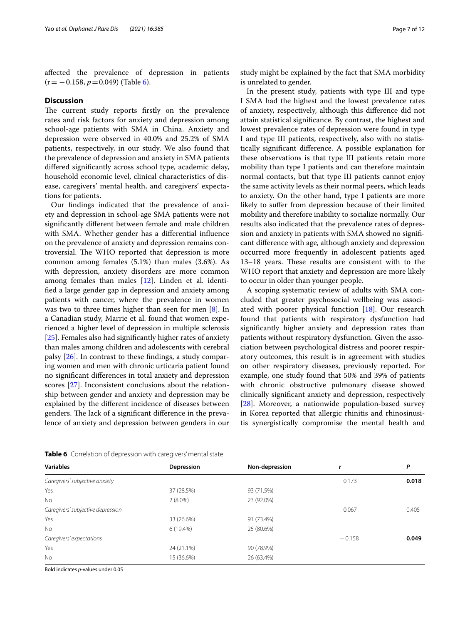afected the prevalence of depression in patients (r= −0.158, *p*=0.049) (Table [6\)](#page-6-0).

#### **Discussion**

The current study reports firstly on the prevalence rates and risk factors for anxiety and depression among school-age patients with SMA in China. Anxiety and depression were observed in 40.0% and 25.2% of SMA patients, respectively, in our study. We also found that the prevalence of depression and anxiety in SMA patients difered signifcantly across school type, academic delay, household economic level, clinical characteristics of disease, caregivers' mental health, and caregivers' expectations for patients.

Our fndings indicated that the prevalence of anxiety and depression in school-age SMA patients were not signifcantly diferent between female and male children with SMA. Whether gender has a diferential infuence on the prevalence of anxiety and depression remains controversial. The WHO reported that depression is more common among females (5.1%) than males (3.6%). As with depression, anxiety disorders are more common among females than males [[12](#page-10-8)]. Linden et al. identifed a large gender gap in depression and anxiety among patients with cancer, where the prevalence in women was two to three times higher than seen for men [\[8](#page-10-21)]. In a Canadian study, Marrie et al. found that women experienced a higher level of depression in multiple sclerosis [[25\]](#page-10-22). Females also had signifcantly higher rates of anxiety than males among children and adolescents with cerebral palsy [[26](#page-10-23)]. In contrast to these fndings, a study comparing women and men with chronic urticaria patient found no signifcant diferences in total anxiety and depression scores [[27](#page-10-24)]. Inconsistent conclusions about the relationship between gender and anxiety and depression may be explained by the diferent incidence of diseases between genders. The lack of a significant difference in the prevalence of anxiety and depression between genders in our study might be explained by the fact that SMA morbidity is unrelated to gender.

In the present study, patients with type III and type I SMA had the highest and the lowest prevalence rates of anxiety, respectively, although this diference did not attain statistical signifcance. By contrast, the highest and lowest prevalence rates of depression were found in type I and type III patients, respectively, also with no statistically signifcant diference. A possible explanation for these observations is that type III patients retain more mobility than type I patients and can therefore maintain normal contacts, but that type III patients cannot enjoy the same activity levels as their normal peers, which leads to anxiety. On the other hand, type I patients are more likely to sufer from depression because of their limited mobility and therefore inability to socialize normally. Our results also indicated that the prevalence rates of depression and anxiety in patients with SMA showed no signifcant diference with age, although anxiety and depression occurred more frequently in adolescent patients aged 13–18 years. These results are consistent with to the WHO report that anxiety and depression are more likely to occur in older than younger people.

A scoping systematic review of adults with SMA concluded that greater psychosocial wellbeing was associated with poorer physical function [[18](#page-10-14)]. Our research found that patients with respiratory dysfunction had signifcantly higher anxiety and depression rates than patients without respiratory dysfunction. Given the association between psychological distress and poorer respiratory outcomes, this result is in agreement with studies on other respiratory diseases, previously reported. For example, one study found that 50% and 39% of patients with chronic obstructive pulmonary disease showed clinically signifcant anxiety and depression, respectively [[28\]](#page-10-25). Moreover, a nationwide population-based survey in Korea reported that allergic rhinitis and rhinosinusitis synergistically compromise the mental health and

| <b>Variables</b>                  | Depression | Non-depression |       | Ρ     |
|-----------------------------------|------------|----------------|-------|-------|
| Caregivers' subjective anxiety    |            |                | 0.173 | 0.018 |
| Yes                               | 37 (28.5%) | 93 (71.5%)     |       |       |
| No.                               | $2(8.0\%)$ | 23 (92.0%)     |       |       |
| Caregivers' subjective depression | 0.067      | 0.405          |       |       |
| Yes                               | 33 (26.6%) | 91 (73.4%)     |       |       |
| No                                | 6 (19.4%)  | 25 (80.6%)     |       |       |
| Caregivers' expectations          | $-0.158$   | 0.049          |       |       |
| Yes                               | 24 (21.1%) | 90 (78.9%)     |       |       |
| No.                               | 15 (36.6%) | 26 (63.4%)     |       |       |

<span id="page-6-0"></span>**Table 6** Correlation of depression with caregivers' mental state

Bold indicates *p*-values under 0.05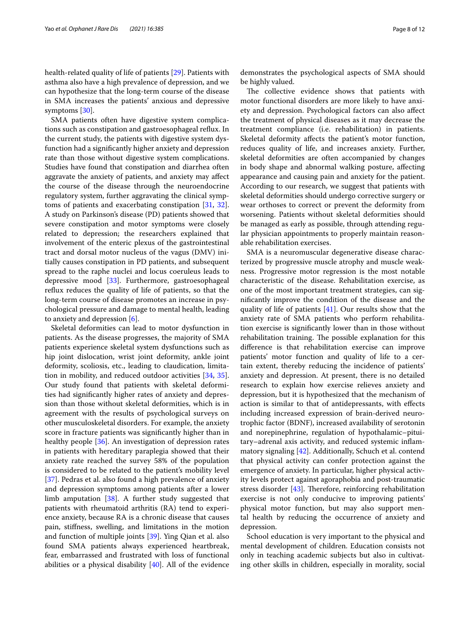health-related quality of life of patients [[29\]](#page-10-26). Patients with asthma also have a high prevalence of depression, and we can hypothesize that the long-term course of the disease in SMA increases the patients' anxious and depressive symptoms [\[30](#page-10-27)].

SMA patients often have digestive system complications such as constipation and gastroesophageal refux. In the current study, the patients with digestive system dysfunction had a signifcantly higher anxiety and depression rate than those without digestive system complications. Studies have found that constipation and diarrhea often aggravate the anxiety of patients, and anxiety may afect the course of the disease through the neuroendocrine regulatory system, further aggravating the clinical symptoms of patients and exacerbating constipation [[31,](#page-10-28) [32](#page-10-29)]. A study on Parkinson's disease (PD) patients showed that severe constipation and motor symptoms were closely related to depression; the researchers explained that involvement of the enteric plexus of the gastrointestinal tract and dorsal motor nucleus of the vagus (DMV) initially causes constipation in PD patients, and subsequent spread to the raphe nuclei and locus coeruleus leads to depressive mood [\[33](#page-10-30)]. Furthermore, gastroesophageal refux reduces the quality of life of patients, so that the long-term course of disease promotes an increase in psychological pressure and damage to mental health, leading to anxiety and depression [\[6](#page-10-31)].

Skeletal deformities can lead to motor dysfunction in patients. As the disease progresses, the majority of SMA patients experience skeletal system dysfunctions such as hip joint dislocation, wrist joint deformity, ankle joint deformity, scoliosis, etc., leading to claudication, limitation in mobility, and reduced outdoor activities [\[34,](#page-10-32) [35](#page-10-33)]. Our study found that patients with skeletal deformities had signifcantly higher rates of anxiety and depression than those without skeletal deformities, which is in agreement with the results of psychological surveys on other musculoskeletal disorders. For example, the anxiety score in fracture patients was signifcantly higher than in healthy people [\[36](#page-11-0)]. An investigation of depression rates in patients with hereditary paraplegia showed that their anxiety rate reached the survey 58% of the population is considered to be related to the patient's mobility level [[37\]](#page-11-1). Pedras et al. also found a high prevalence of anxiety and depression symptoms among patients after a lower limb amputation [[38\]](#page-11-2). A further study suggested that patients with rheumatoid arthritis (RA) tend to experience anxiety, because RA is a chronic disease that causes pain, stifness, swelling, and limitations in the motion and function of multiple joints [\[39](#page-11-3)]. Ying Qian et al. also found SMA patients always experienced heartbreak, fear, embarrassed and frustrated with loss of functional abilities or a physical disability [\[40](#page-11-4)]. All of the evidence demonstrates the psychological aspects of SMA should be highly valued.

The collective evidence shows that patients with motor functional disorders are more likely to have anxiety and depression. Psychological factors can also afect the treatment of physical diseases as it may decrease the treatment compliance (i.e. rehabilitation) in patients. Skeletal deformity afects the patient's motor function, reduces quality of life, and increases anxiety. Further, skeletal deformities are often accompanied by changes in body shape and abnormal walking posture, afecting appearance and causing pain and anxiety for the patient. According to our research, we suggest that patients with skeletal deformities should undergo corrective surgery or wear orthoses to correct or prevent the deformity from worsening. Patients without skeletal deformities should be managed as early as possible, through attending regular physician appointments to properly maintain reasonable rehabilitation exercises.

SMA is a neuromuscular degenerative disease characterized by progressive muscle atrophy and muscle weakness. Progressive motor regression is the most notable characteristic of the disease. Rehabilitation exercise, as one of the most important treatment strategies, can signifcantly improve the condition of the disease and the quality of life of patients [\[41\]](#page-11-5). Our results show that the anxiety rate of SMA patients who perform rehabilitation exercise is signifcantly lower than in those without rehabilitation training. The possible explanation for this diference is that rehabilitation exercise can improve patients' motor function and quality of life to a certain extent, thereby reducing the incidence of patients' anxiety and depression. At present, there is no detailed research to explain how exercise relieves anxiety and depression, but it is hypothesized that the mechanism of action is similar to that of antidepressants, with efects including increased expression of brain-derived neurotrophic factor (BDNF), increased availability of serotonin and norepinephrine, regulation of hypothalamic–pituitary–adrenal axis activity, and reduced systemic infammatory signaling [[42\]](#page-11-6). Additionally, Schuch et al. contend that physical activity can confer protection against the emergence of anxiety. In particular, higher physical activity levels protect against agoraphobia and post-traumatic stress disorder  $[43]$  $[43]$ . Therefore, reinforcing rehabilitation exercise is not only conducive to improving patients' physical motor function, but may also support mental health by reducing the occurrence of anxiety and depression.

School education is very important to the physical and mental development of children. Education consists not only in teaching academic subjects but also in cultivating other skills in children, especially in morality, social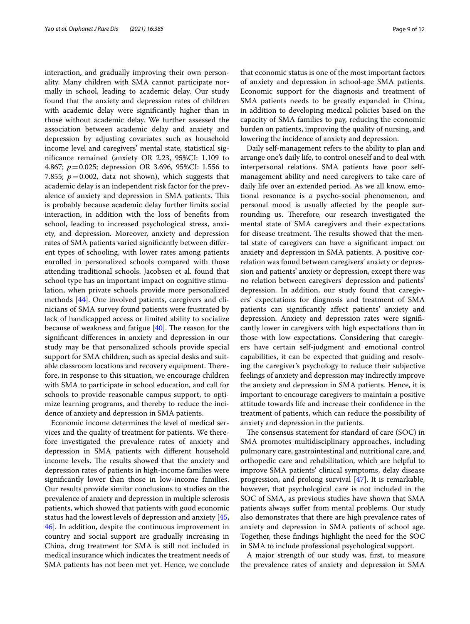interaction, and gradually improving their own personality. Many children with SMA cannot participate normally in school, leading to academic delay. Our study found that the anxiety and depression rates of children with academic delay were signifcantly higher than in those without academic delay. We further assessed the association between academic delay and anxiety and depression by adjusting covariates such as household income level and caregivers' mental state, statistical signifcance remained (anxiety OR 2.23, 95%CI: 1.109 to 4.867; *p*=0.025; depression OR 3.696, 95%CI: 1.556 to 7.855;  $p = 0.002$ , data not shown), which suggests that academic delay is an independent risk factor for the prevalence of anxiety and depression in SMA patients. This is probably because academic delay further limits social interaction, in addition with the loss of benefts from school, leading to increased psychological stress, anxiety, and depression. Moreover, anxiety and depression rates of SMA patients varied signifcantly between diferent types of schooling, with lower rates among patients enrolled in personalized schools compared with those attending traditional schools. Jacobsen et al. found that school type has an important impact on cognitive stimulation, when private schools provide more personalized methods [[44\]](#page-11-8). One involved patients, caregivers and clinicians of SMA survey found patients were frustrated by lack of handicapped access or limited ability to socialize because of weakness and fatigue  $[40]$  $[40]$ . The reason for the signifcant diferences in anxiety and depression in our study may be that personalized schools provide special support for SMA children, such as special desks and suitable classroom locations and recovery equipment. Therefore, in response to this situation, we encourage children with SMA to participate in school education, and call for schools to provide reasonable campus support, to optimize learning programs, and thereby to reduce the incidence of anxiety and depression in SMA patients.

Economic income determines the level of medical services and the quality of treatment for patients. We therefore investigated the prevalence rates of anxiety and depression in SMA patients with diferent household income levels. The results showed that the anxiety and depression rates of patients in high-income families were signifcantly lower than those in low-income families. Our results provide similar conclusions to studies on the prevalence of anxiety and depression in multiple sclerosis patients, which showed that patients with good economic status had the lowest levels of depression and anxiety [\[45](#page-11-9), [46\]](#page-11-10). In addition, despite the continuous improvement in country and social support are gradually increasing in China, drug treatment for SMA is still not included in medical insurance which indicates the treatment needs of SMA patients has not been met yet. Hence, we conclude that economic status is one of the most important factors of anxiety and depression in school-age SMA patients. Economic support for the diagnosis and treatment of SMA patients needs to be greatly expanded in China, in addition to developing medical policies based on the capacity of SMA families to pay, reducing the economic burden on patients, improving the quality of nursing, and lowering the incidence of anxiety and depression.

Daily self-management refers to the ability to plan and arrange one's daily life, to control oneself and to deal with interpersonal relations. SMA patients have poor selfmanagement ability and need caregivers to take care of daily life over an extended period. As we all know, emotional resonance is a psycho-social phenomenon, and personal mood is usually afected by the people surrounding us. Therefore, our research investigated the mental state of SMA caregivers and their expectations for disease treatment. The results showed that the mental state of caregivers can have a signifcant impact on anxiety and depression in SMA patients. A positive correlation was found between caregivers' anxiety or depression and patients' anxiety or depression, except there was no relation between caregivers' depression and patients' depression. In addition, our study found that caregivers' expectations for diagnosis and treatment of SMA patients can signifcantly afect patients' anxiety and depression. Anxiety and depression rates were signifcantly lower in caregivers with high expectations than in those with low expectations. Considering that caregivers have certain self-judgment and emotional control capabilities, it can be expected that guiding and resolving the caregiver's psychology to reduce their subjective feelings of anxiety and depression may indirectly improve the anxiety and depression in SMA patients. Hence, it is important to encourage caregivers to maintain a positive attitude towards life and increase their confdence in the treatment of patients, which can reduce the possibility of anxiety and depression in the patients.

The consensus statement for standard of care (SOC) in SMA promotes multidisciplinary approaches, including pulmonary care, gastrointestinal and nutritional care, and orthopedic care and rehabilitation, which are helpful to improve SMA patients' clinical symptoms, delay disease progression, and prolong survival [[47](#page-11-11)]. It is remarkable, however, that psychological care is not included in the SOC of SMA, as previous studies have shown that SMA patients always sufer from mental problems. Our study also demonstrates that there are high prevalence rates of anxiety and depression in SMA patients of school age. Together, these fndings highlight the need for the SOC in SMA to include professional psychological support.

A major strength of our study was, frst, to measure the prevalence rates of anxiety and depression in SMA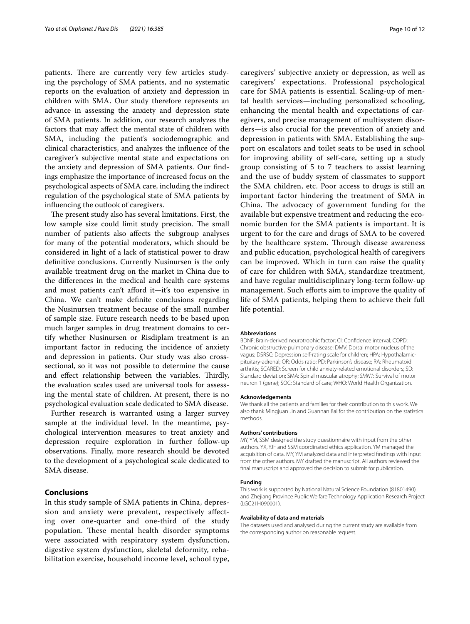patients. There are currently very few articles studying the psychology of SMA patients, and no systematic reports on the evaluation of anxiety and depression in children with SMA. Our study therefore represents an advance in assessing the anxiety and depression state of SMA patients. In addition, our research analyzes the factors that may afect the mental state of children with SMA, including the patient's sociodemographic and clinical characteristics, and analyzes the infuence of the caregiver's subjective mental state and expectations on the anxiety and depression of SMA patients. Our fndings emphasize the importance of increased focus on the psychological aspects of SMA care, including the indirect regulation of the psychological state of SMA patients by infuencing the outlook of caregivers.

The present study also has several limitations. First, the low sample size could limit study precision. The small number of patients also afects the subgroup analyses for many of the potential moderators, which should be considered in light of a lack of statistical power to draw defnitive conclusions. Currently Nusinursen is the only available treatment drug on the market in China due to the diferences in the medical and health care systems and most patients can't aford it—it's too expensive in China. We can't make defnite conclusions regarding the Nusinursen treatment because of the small number of sample size. Future research needs to be based upon much larger samples in drug treatment domains to certify whether Nusinursen or Risdiplam treatment is an important factor in reducing the incidence of anxiety and depression in patients. Our study was also crosssectional, so it was not possible to determine the cause and effect relationship between the variables. Thirdly, the evaluation scales used are universal tools for assessing the mental state of children. At present, there is no psychological evaluation scale dedicated to SMA disease.

Further research is warranted using a larger survey sample at the individual level. In the meantime, psychological intervention measures to treat anxiety and depression require exploration in further follow-up observations. Finally, more research should be devoted to the development of a psychological scale dedicated to SMA disease.

#### **Conclusions**

In this study sample of SMA patients in China, depression and anxiety were prevalent, respectively afecting over one-quarter and one-third of the study population. These mental health disorder symptoms were associated with respiratory system dysfunction, digestive system dysfunction, skeletal deformity, rehabilitation exercise, household income level, school type, caregivers' subjective anxiety or depression, as well as caregivers' expectations. Professional psychological care for SMA patients is essential. Scaling-up of mental health services—including personalized schooling, enhancing the mental health and expectations of caregivers, and precise management of multisystem disorders—is also crucial for the prevention of anxiety and depression in patients with SMA. Establishing the support on escalators and toilet seats to be used in school for improving ability of self-care, setting up a study group consisting of 5 to 7 teachers to assist learning and the use of buddy system of classmates to support the SMA children, etc. Poor access to drugs is still an important factor hindering the treatment of SMA in China. The advocacy of government funding for the available but expensive treatment and reducing the economic burden for the SMA patients is important. It is urgent to for the care and drugs of SMA to be covered by the healthcare system. Through disease awareness and public education, psychological health of caregivers can be improved. Which in turn can raise the quality of care for children with SMA, standardize treatment, and have regular multidisciplinary long-term follow-up management. Such efforts aim to improve the quality of life of SMA patients, helping them to achieve their full life potential.

#### **Abbreviations**

BDNF: Brain-derived neurotrophic factor; CI: Confdence interval; COPD: Chronic obstructive pulmonary disease; DMV: Dorsal motor nucleus of the vagus; DSRSC: Depression self-rating scale for children; HPA: Hypothalamicpituitary-adrenal; OR: Odds ratio; PD: Parkinson's disease; RA: Rheumatoid arthritis; SCARED: Screen for child anxiety-related emotional disorders; SD: Standard deviation; SMA: Spinal muscular atrophy; *SMN1*: Survival of motor neuron 1 (gene); SOC: Standard of care; WHO: World Health Organization.

#### **Acknowledgements**

We thank all the patients and families for their contribution to this work. We also thank Mingiuan Jin and Guannan Bai for the contribution on the statistics methods.

#### **Authors' contributions**

MY, YM, SSM designed the study questionnaire with input from the other authors. YX, YJF and SSM coordinated ethics application. YM managed the acquisition of data. MY, YM analyzed data and interpreted fndings with input from the other authors. MY drafted the manuscript. All authors reviewed the fnal manuscript and approved the decision to submit for publication.

#### **Funding**

This work is supported by National Natural Science Foundation (81801490) and Zhejiang Province Public Welfare Technology Application Research Project (LGC21H090001).

#### **Availability of data and materials**

The datasets used and analysed during the current study are available from the corresponding author on reasonable request.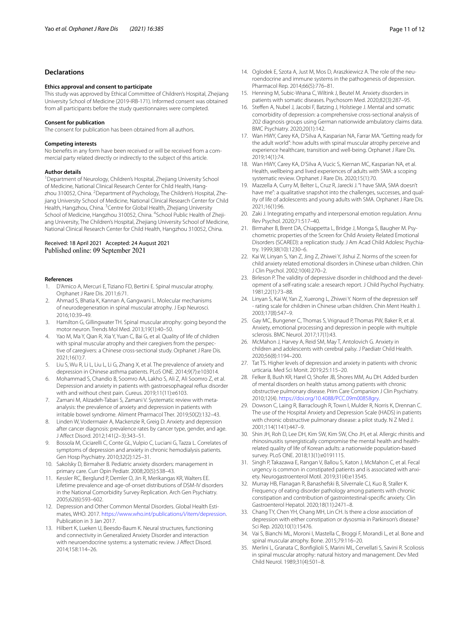## **Declarations**

#### **Ethics approval and consent to participate**

This study was approved by Ethical Committee of Children's Hospital, Zhejiang University School of Medicine (2019-IRB-171). Informed consent was obtained from all participants before the study questionnaires were completed.

#### **Consent for publication**

The consent for publication has been obtained from all authors.

#### **Competing interests**

No benefts in any form have been received or will be received from a commercial party related directly or indirectly to the subject of this article.

#### **Author details**

<sup>1</sup> Department of Neurology, Children's Hospital, Zhejiang University School of Medicine, National Clinical Research Center for Child Health, Hangzhou 310052, China. <sup>2</sup> Department of Psychology, The Children's Hospital, Zhejiang University School of Medicine, National Clinical Research Center for Child Health, Hangzhou, China. <sup>3</sup> Centre for Global Health, Zhejiang University School of Medicine, Hangzhou 310052, China. <sup>4</sup>School Public Health of Zhejiang University, The Children's Hospital, Zhejiang University School of Medicine, National Clinical Research Center for Child Health, Hangzhou 310052, China.

#### Received: 18 April 2021 Accepted: 24 August 2021 Published online: 09 September 2021

#### **References**

- <span id="page-10-0"></span>D'Amico A, Mercuri E, Tiziano FD, Bertini E. Spinal muscular atrophy. Orphanet J Rare Dis. 2011;6:71.
- <span id="page-10-1"></span>2. Ahmad S, Bhatia K, Kannan A, Gangwani L. Molecular mechanisms of neurodegeneration in spinal muscular atrophy. J Exp Neurosci. 2016;10:39–49.
- <span id="page-10-2"></span>3. Hamilton G, Gillingwater TH. Spinal muscular atrophy: going beyond the motor neuron. Trends Mol Med. 2013;19(1):40–50.
- <span id="page-10-3"></span>Yao M, Ma Y, Qian R, Xia Y, Yuan C, Bai G, et al. Quality of life of children with spinal muscular atrophy and their caregivers from the perspective of caregivers: a Chinese cross-sectional study. Orphanet J Rare Dis. 2021;16(1):7.
- <span id="page-10-4"></span>5. Liu S, Wu R, Li L, Liu L, Li G, Zhang X, et al. The prevalence of anxiety and depression in Chinese asthma patients. PLoS ONE. 2014;9(7):e103014.
- <span id="page-10-31"></span>6. Mohammad S, Chandio B, Soomro AA, Lakho S, Ali Z, Ali Soomro Z, et al. Depression and anxiety in patients with gastroesophageal refux disorder with and without chest pain. Cureus. 2019;11(11):e6103.
- 7. Zamani M, Alizadeh-Tabari S, Zamani V. Systematic review with metaanalysis: the prevalence of anxiety and depression in patients with irritable bowel syndrome. Aliment Pharmacol Ther. 2019;50(2):132–43.
- <span id="page-10-21"></span>8. Linden W, Vodermaier A, Mackenzie R, Greig D. Anxiety and depression after cancer diagnosis: prevalence rates by cancer type, gender, and age. J Afect Disord. 2012;141(2–3):343–51.
- <span id="page-10-5"></span>9. Bossola M, Ciciarelli C, Conte GL, Vulpio C, Luciani G, Tazza L. Correlates of symptoms of depression and anxiety in chronic hemodialysis patients. Gen Hosp Psychiatry. 2010;32(2):125–31.
- <span id="page-10-6"></span>10. Sakolsky D, Birmaher B. Pediatric anxiety disorders: management in primary care. Curr Opin Pediatr. 2008;20(5):538–43.
- <span id="page-10-7"></span>11. Kessler RC, Berglund P, Demler O, Jin R, Merikangas KR, Walters EE. Lifetime prevalence and age-of-onset distributions of DSM-IV disorders in the National Comorbidity Survey Replication. Arch Gen Psychiatry. 2005;62(6):593–602.
- <span id="page-10-8"></span>12. Depression and Other Common Mental Disorders. Global Health Estimates, WHO. 2017. <https://www.who.int/publications/i/item/depression>. Publication in 3 Jan 2017.
- <span id="page-10-9"></span>13. Hilbert K, Lueken U, Beesdo-Baum K. Neural structures, functioning and connectivity in Generalized Anxiety Disorder and interaction with neuroendocrine systems: a systematic review. J Afect Disord. 2014;158:114–26.
- 
- <span id="page-10-10"></span>14. Oglodek E, Szota A, Just M, Mos D, Araszkiewicz A. The role of the neuroendocrine and immune systems in the pathogenesis of depression. Pharmacol Rep. 2014;66(5):776–81.
- <span id="page-10-11"></span>15. Henning M, Subic-Wrana C, Wiltink J, Beutel M. Anxiety disorders in patients with somatic diseases. Psychosom Med. 2020;82(3):287–95.
- <span id="page-10-12"></span>16. Steffen A, Nubel J, Jacobi F, Batzing J, Holstiege J. Mental and somatic comorbidity of depression: a comprehensive cross-sectional analysis of 202 diagnosis groups using German nationwide ambulatory claims data. BMC Psychiatry. 2020;20(1):142.
- <span id="page-10-13"></span>17. Wan HWY, Carey KA, D'Silva A, Kasparian NA, Farrar MA. "Getting ready for the adult world": how adults with spinal muscular atrophy perceive and experience healthcare, transition and well-being. Orphanet J Rare Dis. 2019;14(1):74.
- <span id="page-10-14"></span>18. Wan HWY, Carey KA, D'Silva A, Vucic S, Kiernan MC, Kasparian NA, et al. Health, wellbeing and lived experiences of adults with SMA: a scoping systematic review. Orphanet J Rare Dis. 2020;15(1):70.
- <span id="page-10-15"></span>19. Mazzella A, Curry M, Belter L, Cruz R, Jarecki J. "I have SMA, SMA doesn't have me": a qualitative snapshot into the challenges, successes, and quality of life of adolescents and young adults with SMA. Orphanet J Rare Dis. 2021;16(1):96.
- <span id="page-10-16"></span>20. Zaki J. Integrating empathy and interpersonal emotion regulation. Annu Rev Psychol. 2020;71:517–40.
- <span id="page-10-17"></span>21. Birmaher B, Brent DA, Chiappetta L, Bridge J, Monga S, Baugher M. Psychometric properties of the Screen for Child Anxiety Related Emotional Disorders (SCARED): a replication study. J Am Acad Child Adolesc Psychiatry. 1999;38(10):1230–6.
- <span id="page-10-18"></span>22. Kai W, Linyan S, Yan Z, Jing Z, Zhiwei Y, Jishui Z. Norms of the screen for child anxiety related emotional disorders in Chinese urban children. Chin J Clin Psychol. 2002;10(4):270–2.
- <span id="page-10-19"></span>23. Birleson P. The validity of depressive disorder in childhood and the development of a self-rating scale: a research report. J Child Psychol Psychiatry. 1981;22(1):73–88.
- <span id="page-10-20"></span>24. Linyan S, Kai W, Yan Z, Xuerong L, Zhiwei Y. Norm of the depression self - rating scale for children in Chinese urban children. Chin Ment Health J. 2003;17(8):547–9.
- <span id="page-10-22"></span>25. Gay MC, Bungener C, Thomas S, Vrignaud P, Thomas PW, Baker R, et al. Anxiety, emotional processing and depression in people with multiple sclerosis. BMC Neurol. 2017;17(1):43.
- <span id="page-10-23"></span>26. McMahon J, Harvey A, Reid SM, May T, Antolovich G. Anxiety in children and adolescents with cerebral palsy. J Paediatr Child Health. 2020;56(8):1194–200.
- <span id="page-10-24"></span>27. Tat TS. Higher levels of depression and anxiety in patients with chronic urticaria. Med Sci Monit. 2019;25:115–20.
- <span id="page-10-25"></span>28. Felker B, Bush KR, Harel O, Shofer JB, Shores MM, Au DH. Added burden of mental disorders on health status among patients with chronic obstructive pulmonary disease. Prim Care Companion J Clin Psychiatry. 2010;12(4). <https://doi.org/10.4088/PCC.09m00858gry>.
- <span id="page-10-26"></span>29. Dowson C, Laing R, Barraclough R, Town I, Mulder R, Norris K, Drennan C. The use of the Hospital Anxiety and Depression Scale (HADS) in patients with chronic obstructive pulmonary disease: a pilot study. N Z Med J. 2001;114(1141):447–9.
- <span id="page-10-27"></span>30. Shin JH, Roh D, Lee DH, Kim SW, Kim SW, Cho JH, et al. Allergic rhinitis and rhinosinusitis synergistically compromise the mental health and healthrelated quality of life of Korean adults: a nationwide population-based survey. PLoS ONE. 2018;13(1):e0191115.
- <span id="page-10-28"></span>31. Singh P, Takazawa E, Rangan V, Ballou S, Katon J, McMahon C, et al. Fecal urgency is common in constipated patients and is associated with anxiety. Neurogastroenterol Motil. 2019;31(4):e13545.
- <span id="page-10-29"></span>32. Murray HB, Flanagan R, Banashefski B, Silvernale CJ, Kuo B, Staller K. Frequency of eating disorder pathology among patients with chronic constipation and contribution of gastrointestinal-specifc anxiety. Clin Gastroenterol Hepatol. 2020;18(11):2471–8.
- <span id="page-10-30"></span>33. Chang TY, Chen YH, Chang MH, Lin CH. Is there a close association of depression with either constipation or dysosmia in Parkinson's disease? Sci Rep. 2020;10(1):15476.
- <span id="page-10-32"></span>34. Vai S, Bianchi ML, Moroni I, Mastella C, Broggi F, Morandi L, et al. Bone and spinal muscular atrophy. Bone. 2015;79:116–20.
- <span id="page-10-33"></span>35. Merlini L, Granata C, Bonfglioli S, Marini ML, Cervellati S, Savini R. Scoliosis in spinal muscular atrophy: natural history and management. Dev Med Child Neurol. 1989;31(4):501–8.